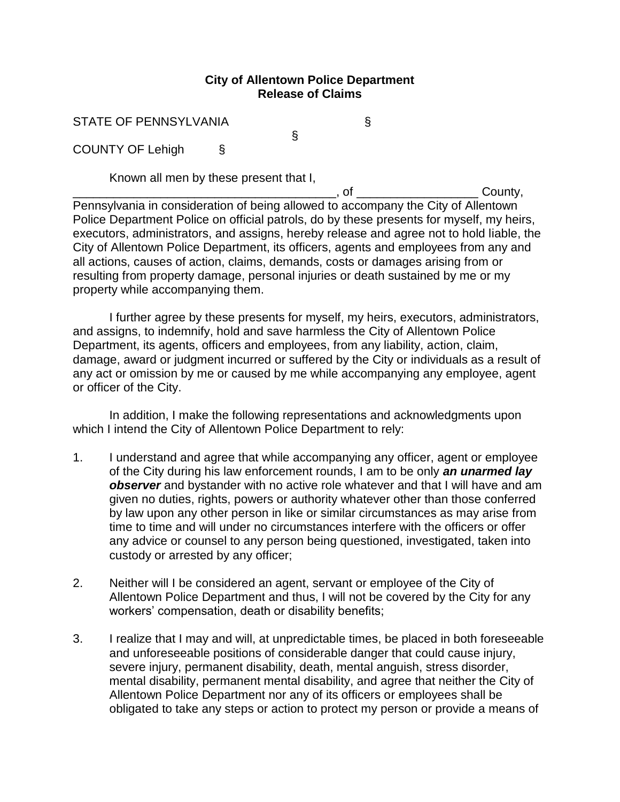## **City of Allentown Police Department Release of Claims**

§

STATE OF PENNSYLVANIA

COUNTY OF Lehigh §

Known all men by these present that I,

\_\_\_\_\_\_\_\_\_\_\_\_\_\_\_\_\_\_\_\_\_\_\_\_\_\_\_\_\_\_\_\_\_\_\_\_\_\_\_, of \_\_\_\_\_\_\_\_\_\_\_\_\_\_\_\_\_\_ County, Pennsylvania in consideration of being allowed to accompany the City of Allentown Police Department Police on official patrols, do by these presents for myself, my heirs, executors, administrators, and assigns, hereby release and agree not to hold liable, the City of Allentown Police Department, its officers, agents and employees from any and all actions, causes of action, claims, demands, costs or damages arising from or resulting from property damage, personal injuries or death sustained by me or my property while accompanying them.

I further agree by these presents for myself, my heirs, executors, administrators, and assigns, to indemnify, hold and save harmless the City of Allentown Police Department, its agents, officers and employees, from any liability, action, claim, damage, award or judgment incurred or suffered by the City or individuals as a result of any act or omission by me or caused by me while accompanying any employee, agent or officer of the City.

In addition, I make the following representations and acknowledgments upon which I intend the City of Allentown Police Department to rely:

- 1. I understand and agree that while accompanying any officer, agent or employee of the City during his law enforcement rounds, I am to be only *an unarmed lay observer* and bystander with no active role whatever and that I will have and am given no duties, rights, powers or authority whatever other than those conferred by law upon any other person in like or similar circumstances as may arise from time to time and will under no circumstances interfere with the officers or offer any advice or counsel to any person being questioned, investigated, taken into custody or arrested by any officer;
- 2. Neither will I be considered an agent, servant or employee of the City of Allentown Police Department and thus, I will not be covered by the City for any workers' compensation, death or disability benefits;
- 3. I realize that I may and will, at unpredictable times, be placed in both foreseeable and unforeseeable positions of considerable danger that could cause injury, severe injury, permanent disability, death, mental anguish, stress disorder, mental disability, permanent mental disability, and agree that neither the City of Allentown Police Department nor any of its officers or employees shall be obligated to take any steps or action to protect my person or provide a means of